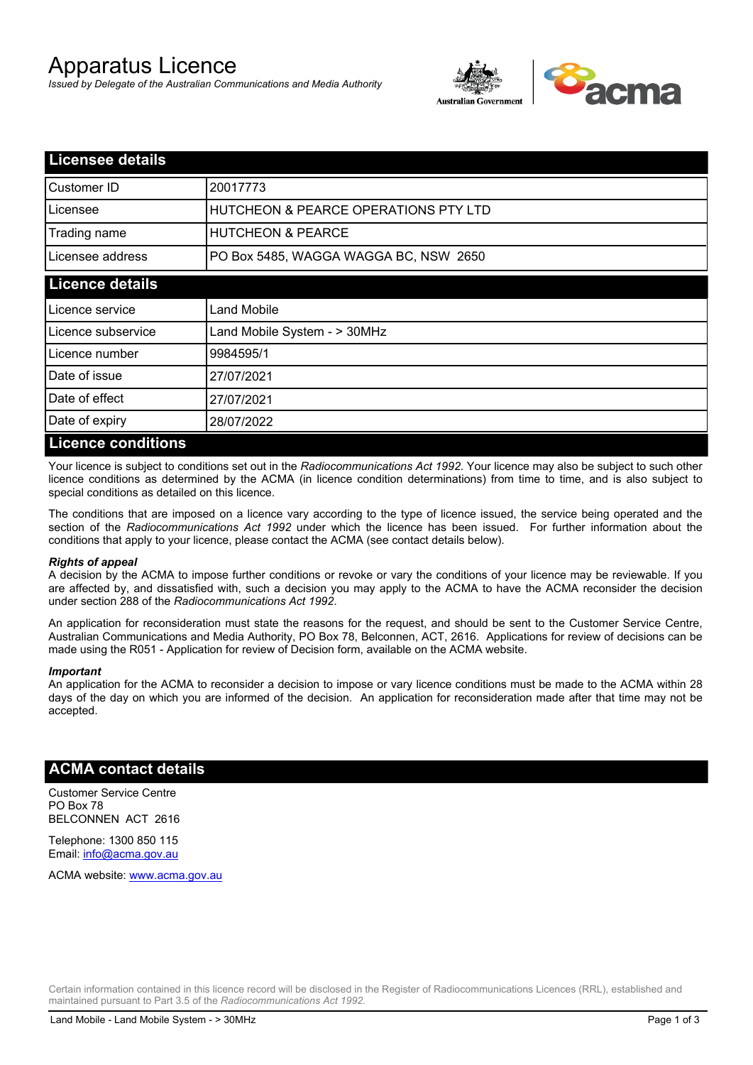# Apparatus Licence

*Issued by Delegate of the Australian Communications and Media Authority*



| <b>Licensee details</b>   |                                       |
|---------------------------|---------------------------------------|
| Customer ID               | 20017773                              |
| Licensee                  | HUTCHEON & PEARCE OPERATIONS PTY LTD  |
| Trading name              | <b>HUTCHEON &amp; PEARCE</b>          |
| Licensee address          | PO Box 5485, WAGGA WAGGA BC, NSW 2650 |
| <b>Licence details</b>    |                                       |
| Licence service           | Land Mobile                           |
| Licence subservice        | Land Mobile System - > 30MHz          |
| Licence number            | 9984595/1                             |
| Date of issue             | 27/07/2021                            |
| Date of effect            | 27/07/2021                            |
| Date of expiry            | 28/07/2022                            |
| <b>Licence conditions</b> |                                       |

Your licence is subject to conditions set out in the *Radiocommunications Act 1992*. Your licence may also be subject to such other licence conditions as determined by the ACMA (in licence condition determinations) from time to time, and is also subject to special conditions as detailed on this licence.

The conditions that are imposed on a licence vary according to the type of licence issued, the service being operated and the section of the *Radiocommunications Act 1992* under which the licence has been issued. For further information about the conditions that apply to your licence, please contact the ACMA (see contact details below).

### *Rights of appeal*

A decision by the ACMA to impose further conditions or revoke or vary the conditions of your licence may be reviewable. If you are affected by, and dissatisfied with, such a decision you may apply to the ACMA to have the ACMA reconsider the decision under section 288 of the *Radiocommunications Act 1992*.

An application for reconsideration must state the reasons for the request, and should be sent to the Customer Service Centre, Australian Communications and Media Authority, PO Box 78, Belconnen, ACT, 2616. Applications for review of decisions can be made using the R051 - Application for review of Decision form, available on the ACMA website.

#### *Important*

An application for the ACMA to reconsider a decision to impose or vary licence conditions must be made to the ACMA within 28 days of the day on which you are informed of the decision. An application for reconsideration made after that time may not be accepted.

### **ACMA contact details**

Customer Service Centre PO Box 78 BELCONNEN ACT 2616

Telephone: 1300 850 115 Email: info@acma.gov.au

ACMA website: www.acma.gov.au

Certain information contained in this licence record will be disclosed in the Register of Radiocommunications Licences (RRL), established and maintained pursuant to Part 3.5 of the *Radiocommunications Act 1992.*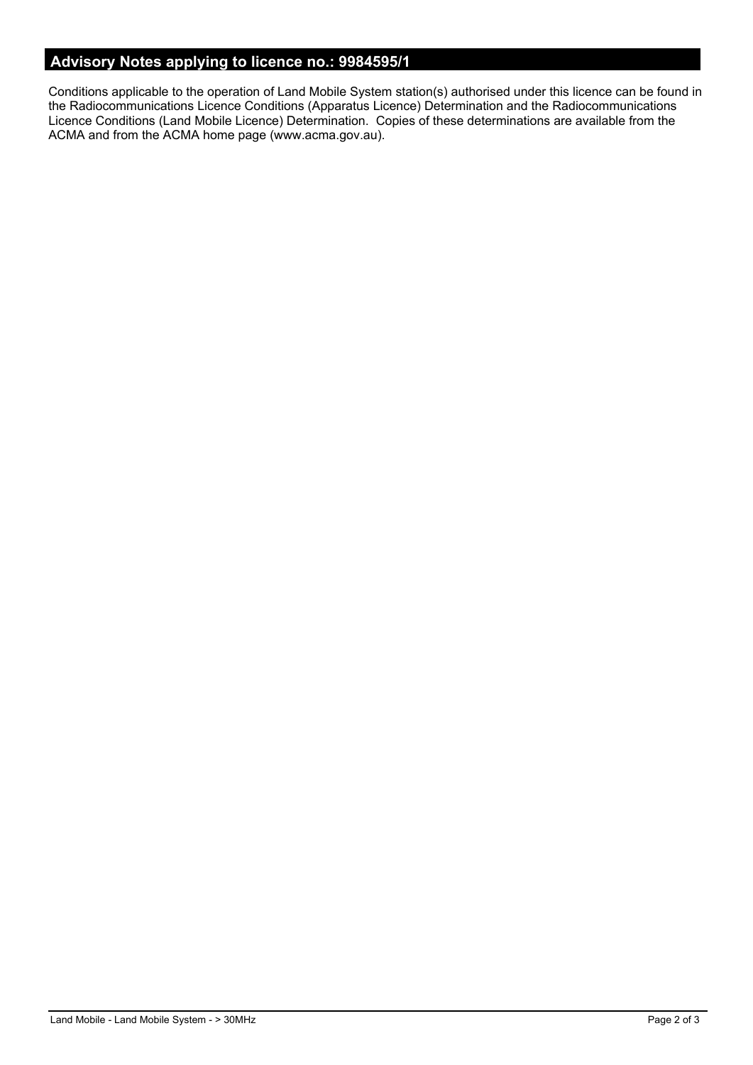# **Advisory Notes applying to licence no.: 9984595/1**

Conditions applicable to the operation of Land Mobile System station(s) authorised under this licence can be found in the Radiocommunications Licence Conditions (Apparatus Licence) Determination and the Radiocommunications Licence Conditions (Land Mobile Licence) Determination. Copies of these determinations are available from the ACMA and from the ACMA home page (www.acma.gov.au).